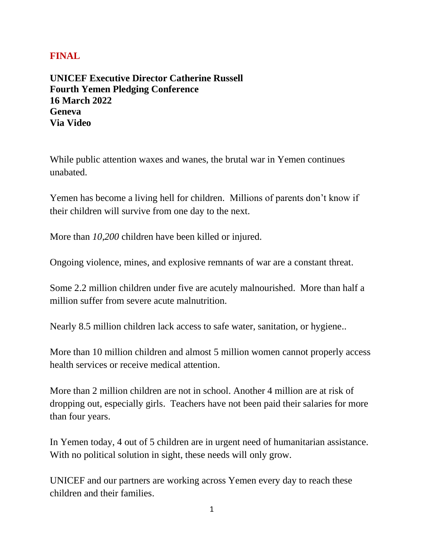## **FINAL**

**UNICEF Executive Director Catherine Russell Fourth Yemen Pledging Conference 16 March 2022 Geneva Via Video** 

While public attention waxes and wanes, the brutal war in Yemen continues unabated.

Yemen has become a living hell for children. Millions of parents don't know if their children will survive from one day to the next.

More than *10,200* children have been killed or injured.

Ongoing violence, mines, and explosive remnants of war are a constant threat.

Some 2.2 million children under five are acutely malnourished. More than half a million suffer from severe acute malnutrition.

Nearly 8.5 million children lack access to safe water, sanitation, or hygiene..

More than 10 million children and almost 5 million women cannot properly access health services or receive medical attention.

More than 2 million children are not in school. Another 4 million are at risk of dropping out, especially girls. Teachers have not been paid their salaries for more than four years.

In Yemen today, 4 out of 5 children are in urgent need of humanitarian assistance. With no political solution in sight, these needs will only grow.

UNICEF and our partners are working across Yemen every day to reach these children and their families.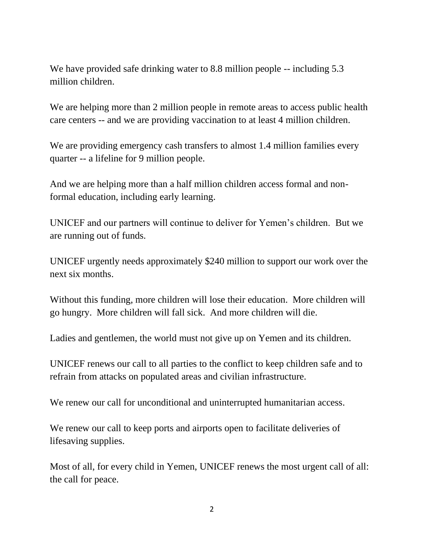We have provided safe drinking water to 8.8 million people -- including 5.3 million children.

We are helping more than 2 million people in remote areas to access public health care centers -- and we are providing vaccination to at least 4 million children.

We are providing emergency cash transfers to almost 1.4 million families every quarter -- a lifeline for 9 million people.

And we are helping more than a half million children access formal and nonformal education, including early learning.

UNICEF and our partners will continue to deliver for Yemen's children. But we are running out of funds.

UNICEF urgently needs approximately \$240 million to support our work over the next six months.

Without this funding, more children will lose their education. More children will go hungry. More children will fall sick. And more children will die.

Ladies and gentlemen, the world must not give up on Yemen and its children.

UNICEF renews our call to all parties to the conflict to keep children safe and to refrain from attacks on populated areas and civilian infrastructure.

We renew our call for unconditional and uninterrupted humanitarian access.

We renew our call to keep ports and airports open to facilitate deliveries of lifesaving supplies.

Most of all, for every child in Yemen, UNICEF renews the most urgent call of all: the call for peace.